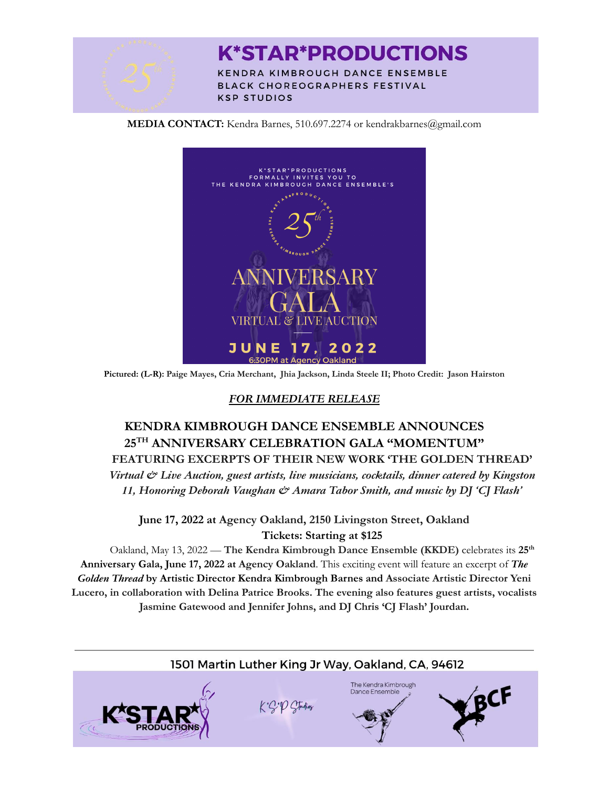

# **K\*STAR\*PRODUCTIONS**

**KENDRA KIMBROUGH DANCE ENSEMBLE** BLACK CHOREOGRAPHERS FESTIVAL **KSP STUDIOS** 

**MEDIA CONTACT:** Kendra Barnes, 510.697.2274 or kendrakbarnes@gmail.com



**Pictured: (L-R): Paige Mayes, Cria Merchant, Jhia Jackson, Linda Steele II; Photo Credit: Jason Hairston**

## *FOR IMMEDIATE RELEASE*

## **KENDRA KIMBROUGH DANCE ENSEMBLE ANNOUNCES 25 TH ANNIVERSARY CELEBRATION GALA "MOMENTUM"**

**FEATURING EXCERPTS OF THEIR NEW WORK 'THE GOLDEN THREAD'** *Virtual & Live Auction, guest artists, live musicians, cocktails, dinner catered by Kingston 11, Honoring Deborah Vaughan & Amara Tabor Smith, and music by DJ 'CJ Flash'*

**June 17, 2022 at Agency Oakland, 2150 Livingston Street, Oakland Tickets: Starting at \$125**

Oakland, May 13, 2022 — **The Kendra Kimbrough Dance Ensemble (KKDE)** celebrates its **25 th Anniversary Gala, June 17, 2022 at Agency Oakland**. This exciting event will feature an excerpt of *The Golden Thread* **by Artistic Director Kendra Kimbrough Barnes and Associate Artistic Director Yeni Lucero, in collaboration with Delina Patrice Brooks. The evening also features guest artists, vocalists Jasmine Gatewood and Jennifer Johns, and DJ Chris 'CJ Flash' Jourdan.**

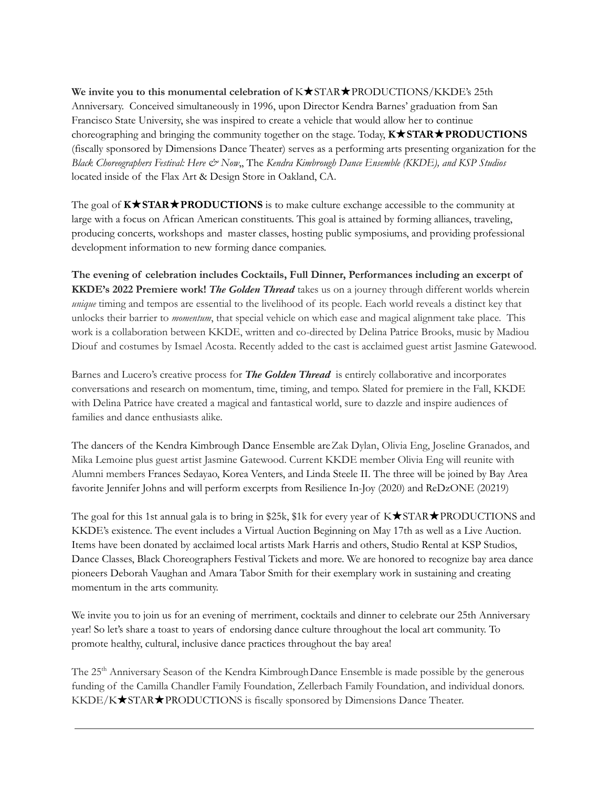**We invite you to this monumental celebration of** K★STAR★PRODUCTIONS/KKDE's 25th Anniversary. Conceived simultaneously in 1996, upon Director Kendra Barnes' graduation from San Francisco State University, she was inspired to create a vehicle that would allow her to continue choreographing and bringing the community together on the stage. Today, **K**★**STAR**★**PRODUCTIONS** (fiscally sponsored by Dimensions Dance Theater) serves as a performing arts presenting organization for the *Black Choreographers Festival: Here & Now*,, The *Kendra Kimbrough Dance Ensemble (KKDE), and KSP Studios* located inside of the Flax Art & Design Store in Oakland, CA.

The goal of **K**★**STAR**★**PRODUCTIONS** is to make culture exchange accessible to the community at large with a focus on African American constituents. This goal is attained by forming alliances, traveling, producing concerts, workshops and master classes, hosting public symposiums, and providing professional development information to new forming dance companies.

**The evening of celebration includes Cocktails, Full Dinner, Performances including an excerpt of KKDE's 2022 Premiere work!** *The Golden Thread* takes us on a journey through different worlds wherein *unique* timing and tempos are essential to the livelihood of its people. Each world reveals a distinct key that unlocks their barrier to *momentum*, that special vehicle on which ease and magical alignment take place. This work is a collaboration between KKDE, written and co-directed by Delina Patrice Brooks, music by Madiou Diouf and costumes by Ismael Acosta. Recently added to the cast is acclaimed guest artist Jasmine Gatewood.

Barnes and Lucero's creative process for *The Golden Thread* is entirely collaborative and incorporates conversations and research on momentum, time, timing, and tempo. Slated for premiere in the Fall, KKDE with Delina Patrice have created a magical and fantastical world, sure to dazzle and inspire audiences of families and dance enthusiasts alike.

The dancers of the Kendra Kimbrough Dance Ensemble areZak Dylan, Olivia Eng, Joseline Granados, and Mika Lemoine plus guest artist Jasmine Gatewood. Current KKDE member Olivia Eng will reunite with Alumni members Frances Sedayao, Korea Venters, and Linda Steele II. The three will be joined by Bay Area favorite Jennifer Johns and will perform excerpts from Resilience In-Joy (2020) and ReDzONE (20219)

The goal for this 1st annual gala is to bring in \$25k, \$1k for every year of K★STAR★PRODUCTIONS and KKDE's existence. The event includes a Virtual Auction Beginning on May 17th as well as a Live Auction. Items have been donated by acclaimed local artists Mark Harris and others, Studio Rental at KSP Studios, Dance Classes, Black Choreographers Festival Tickets and more. We are honored to recognize bay area dance pioneers Deborah Vaughan and Amara Tabor Smith for their exemplary work in sustaining and creating momentum in the arts community.

We invite you to join us for an evening of merriment, cocktails and dinner to celebrate our 25th Anniversary year! So let's share a toast to years of endorsing dance culture throughout the local art community. To promote healthy, cultural, inclusive dance practices throughout the bay area!

The 25<sup>th</sup> Anniversary Season of the Kendra Kimbrough Dance Ensemble is made possible by the generous funding of the Camilla Chandler Family Foundation, Zellerbach Family Foundation, and individual donors. KKDE/K★STAR★PRODUCTIONS is fiscally sponsored by Dimensions Dance Theater.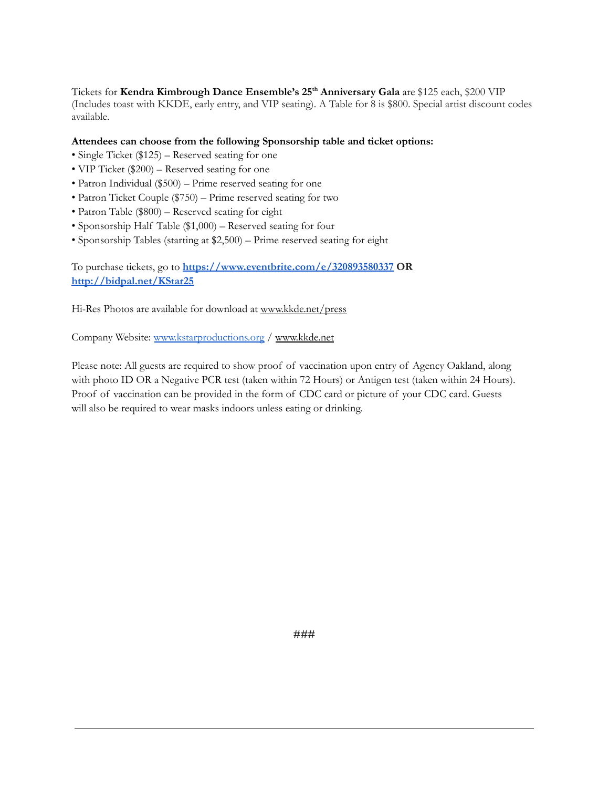Tickets for **Kendra Kimbrough Dance Ensemble's 25 th Anniversary Gala** are \$125 each, \$200 VIP (Includes toast with KKDE, early entry, and VIP seating). A Table for 8 is \$800. Special artist discount codes available.

## **Attendees can choose from the following Sponsorship table and ticket options:**

- Single Ticket (\$125) Reserved seating for one
- VIP Ticket (\$200) Reserved seating for one
- Patron Individual (\$500) Prime reserved seating for one
- Patron Ticket Couple (\$750) Prime reserved seating for two
- Patron Table (\$800) Reserved seating for eight
- Sponsorship Half Table (\$1,000) Reserved seating for four
- Sponsorship Tables (starting at \$2,500) Prime reserved seating for eight

To purchase tickets, go to **<https://www.eventbrite.com/e/320893580337> OR <http://bidpal.net/KStar25>**

Hi-Res Photos are available for download at [www.kkde.net](http://www.kkde.net/)/press

Company Website: [www.kstarproductions.org](http://www.kstarproductions.org) / [www.kkde.net](http://www.kkde.net/)

Please note: All guests are required to show proof of vaccination upon entry of Agency Oakland, along with photo ID OR a Negative PCR test (taken within 72 Hours) or Antigen test (taken within 24 Hours). Proof of vaccination can be provided in the form of CDC card or picture of your CDC card. Guests will also be required to wear masks indoors unless eating or drinking.

**###**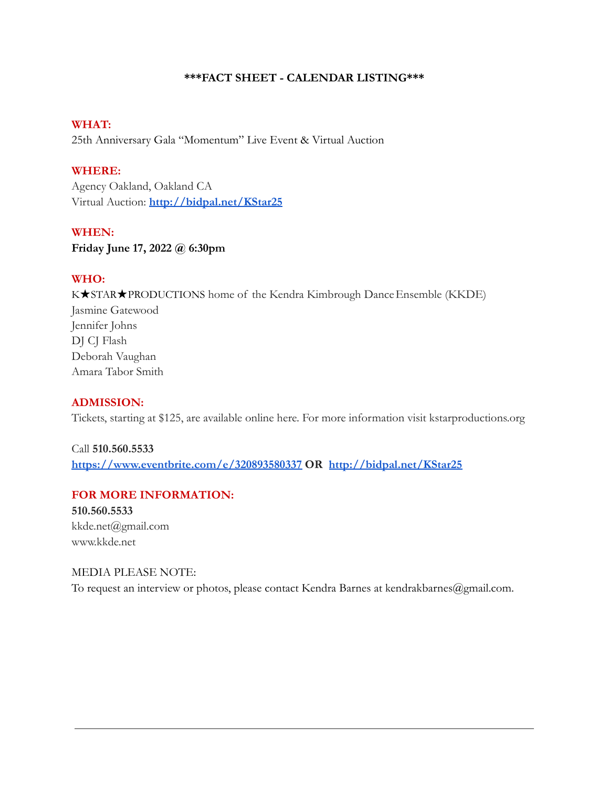## **\*\*\*FACT SHEET - CALENDAR LISTING\*\*\***

## **WHAT:**

25th Anniversary Gala "Momentum" Live Event & Virtual Auction

## **WHERE:**

Agency Oakland, Oakland CA Virtual Auction: **<http://bidpal.net/KStar25>**

## **WHEN:**

**Friday June 17, 2022 @ 6:30pm**

## **WHO:**

K★STAR★PRODUCTIONS home of the Kendra Kimbrough Dance Ensemble (KKDE) Jasmine Gatewood Jennifer Johns DJ CJ Flash Deborah Vaughan Amara Tabor Smith

## **ADMISSION:**

Tickets, starting at \$125, are available online here. For more information visit kstarproductions.org

Call **510.560.5533 <https://www.eventbrite.com/e/320893580337> OR <http://bidpal.net/KStar25>**

## **FOR MORE INFORMATION:**

**510.560.5533** kkde.net@gmail.com www.kkde.net

## MEDIA PLEASE NOTE:

To request an interview or photos, please contact Kendra Barnes at kendrakbarnes@gmail.com.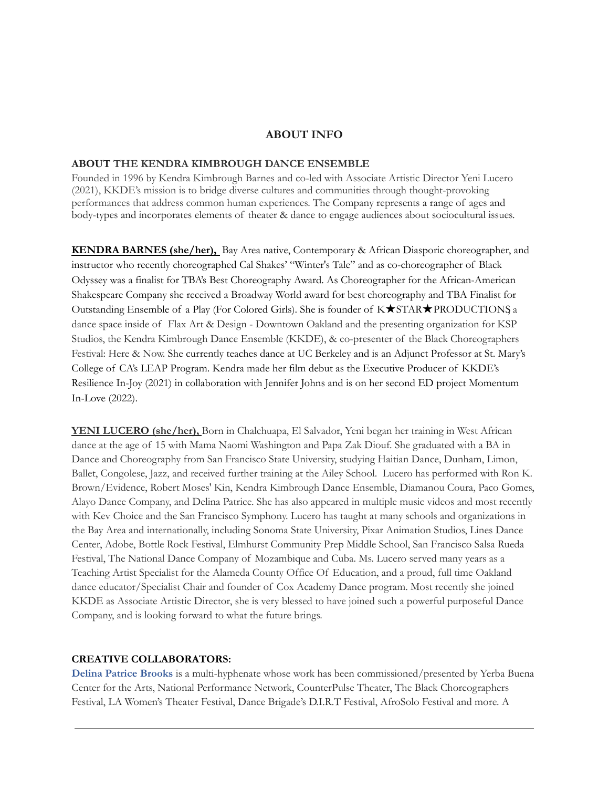## **ABOUT INFO**

### **ABOUT THE KENDRA KIMBROUGH DANCE ENSEMBLE**

Founded in 1996 by Kendra Kimbrough Barnes and co-led with Associate Artistic Director Yeni Lucero (2021), KKDE's mission is to bridge diverse cultures and communities through thought-provoking performances that address common human experiences. The Company represents a range of ages and body-types and incorporates elements of theater & dance to engage audiences about sociocultural issues.

**KENDRA BARNES (she/her),** Bay Area native, Contemporary & African Diasporic choreographer, and instructor who recently choreographed Cal Shakes' "Winter's Tale" and as co-choreographer of Black Odyssey was a finalist for TBA's Best Choreography Award. As Choreographer for the African-American Shakespeare Company she received a Broadway World award for best choreography and TBA Finalist for Outstanding Ensemble of a Play (For Colored Girls). She is founder of K★STAR★PRODUCTIONS, a dance space inside of Flax Art & Design - Downtown Oakland and the presenting organization for KSP Studios, the Kendra Kimbrough Dance Ensemble (KKDE), & co-presenter of the Black Choreographers Festival: Here & Now. She currently teaches dance at UC Berkeley and is an Adjunct Professor at St. Mary's College of CA's LEAP Program. Kendra made her film debut as the Executive Producer of KKDE's Resilience In-Joy (2021) in collaboration with Jennifer Johns and is on her second ED project Momentum In-Love (2022).

**YENI LUCERO (she/her),** Born in Chalchuapa, El Salvador, Yeni began her training in West African dance at the age of 15 with Mama Naomi Washington and Papa Zak Diouf. She graduated with a BA in Dance and Choreography from San Francisco State University, studying Haitian Dance, Dunham, Limon, Ballet, Congolese, Jazz, and received further training at the Ailey School. Lucero has performed with Ron K. Brown/Evidence, Robert Moses' Kin, Kendra Kimbrough Dance Ensemble, Diamanou Coura, Paco Gomes, Alayo Dance Company, and Delina Patrice. She has also appeared in multiple music videos and most recently with Kev Choice and the San Francisco Symphony. Lucero has taught at many schools and organizations in the Bay Area and internationally, including Sonoma State University, Pixar Animation Studios, Lines Dance Center, Adobe, Bottle Rock Festival, Elmhurst Community Prep Middle School, San Francisco Salsa Rueda Festival, The National Dance Company of Mozambique and Cuba. Ms. Lucero served many years as a Teaching Artist Specialist for the Alameda County Office Of Education, and a proud, full time Oakland dance educator/Specialist Chair and founder of Cox Academy Dance program. Most recently she joined KKDE as Associate Artistic Director, she is very blessed to have joined such a powerful purposeful Dance Company, and is looking forward to what the future brings.

#### **CREATIVE COLLABORATORS:**

**Delina Patrice Brooks** is a multi-hyphenate whose work has been commissioned/presented by Yerba Buena Center for the Arts, National Performance Network, CounterPulse Theater, The Black Choreographers Festival, LA Women's Theater Festival, Dance Brigade's D.I.R.T Festival, AfroSolo Festival and more. A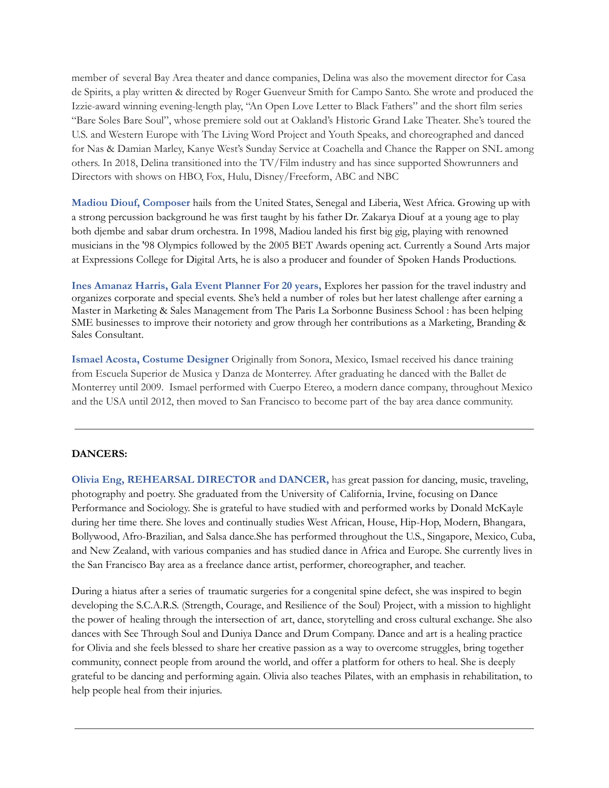member of several Bay Area theater and dance companies, Delina was also the movement director for Casa de Spirits, a play written & directed by Roger Guenveur Smith for Campo Santo. She wrote and produced the Izzie-award winning evening-length play, "An Open Love Letter to Black Fathers" and the short film series "Bare Soles Bare Soul", whose premiere sold out at Oakland's Historic Grand Lake Theater. She's toured the U.S. and Western Europe with The Living Word Project and Youth Speaks, and choreographed and danced for Nas & Damian Marley, Kanye West's Sunday Service at Coachella and Chance the Rapper on SNL among others. In 2018, Delina transitioned into the TV/Film industry and has since supported Showrunners and Directors with shows on HBO, Fox, Hulu, Disney/Freeform, ABC and NBC

**Madiou Diouf, Composer** hails from the United States, Senegal and Liberia, West Africa. Growing up with a strong percussion background he was first taught by his father Dr. Zakarya Diouf at a young age to play both djembe and sabar drum orchestra. In 1998, Madiou landed his first big gig, playing with renowned musicians in the '98 Olympics followed by the 2005 BET Awards opening act. Currently a Sound Arts major at Expressions College for Digital Arts, he is also a producer and founder of Spoken Hands Productions.

**Ines Amanaz Harris, Gala Event Planner For 20 years,** Explores her passion for the travel industry and organizes corporate and special events. She's held a number of roles but her latest challenge after earning a Master in Marketing & Sales Management from The Paris La Sorbonne Business School : has been helping SME businesses to improve their notoriety and grow through her contributions as a Marketing, Branding & Sales Consultant.

**Ismael Acosta, Costume Designer** Originally from Sonora, Mexico, Ismael received his dance training from Escuela Superior de Musica y Danza de Monterrey. After graduating he danced with the Ballet de Monterrey until 2009. Ismael performed with Cuerpo Etereo, a modern dance company, throughout Mexico and the USA until 2012, then moved to San Francisco to become part of the bay area dance community.

## **DANCERS:**

**Olivia Eng, REHEARSAL DIRECTOR and DANCER,** has great passion for dancing, music, traveling, photography and poetry. She graduated from the University of California, Irvine, focusing on Dance Performance and Sociology. She is grateful to have studied with and performed works by Donald McKayle during her time there. She loves and continually studies West African, House, Hip-Hop, Modern, Bhangara, Bollywood, Afro-Brazilian, and Salsa dance.She has performed throughout the U.S., Singapore, Mexico, Cuba, and New Zealand, with various companies and has studied dance in Africa and Europe. She currently lives in the San Francisco Bay area as a freelance dance artist, performer, choreographer, and teacher.

During a hiatus after a series of traumatic surgeries for a congenital spine defect, she was inspired to begin developing the S.C.A.R.S. (Strength, Courage, and Resilience of the Soul) Project, with a mission to highlight the power of healing through the intersection of art, dance, storytelling and cross cultural exchange. She also dances with See Through Soul and Duniya Dance and Drum Company. Dance and art is a healing practice for Olivia and she feels blessed to share her creative passion as a way to overcome struggles, bring together community, connect people from around the world, and offer a platform for others to heal. She is deeply grateful to be dancing and performing again. Olivia also teaches Pilates, with an emphasis in rehabilitation, to help people heal from their injuries.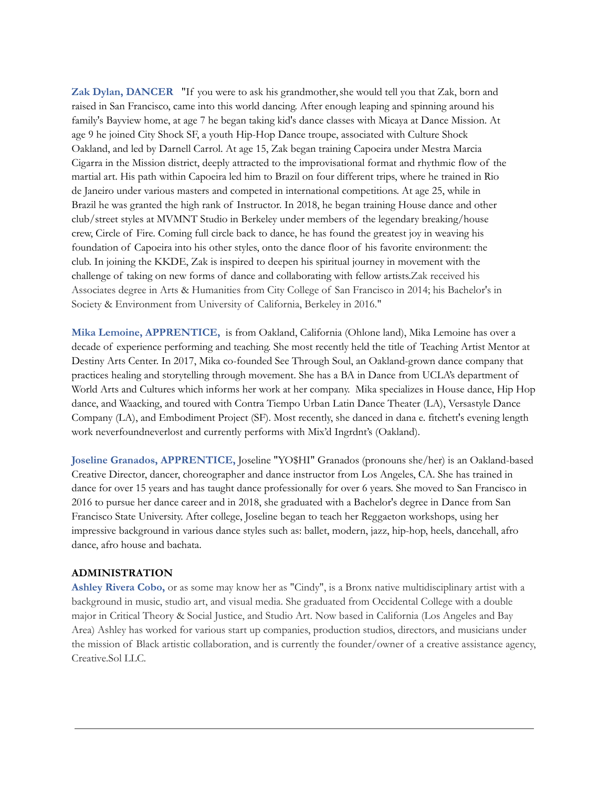**Zak Dylan, DANCER** "If you were to ask his grandmother, she would tell you that Zak, born and raised in San Francisco, came into this world dancing. After enough leaping and spinning around his family's Bayview home, at age 7 he began taking kid's dance classes with Micaya at Dance Mission. At age 9 he joined City Shock SF, a youth Hip-Hop Dance troupe, associated with Culture Shock Oakland, and led by Darnell Carrol. At age 15, Zak began training Capoeira under Mestra Marcia Cigarra in the Mission district, deeply attracted to the improvisational format and rhythmic flow of the martial art. His path within Capoeira led him to Brazil on four different trips, where he trained in Rio de Janeiro under various masters and competed in international competitions. At age 25, while in Brazil he was granted the high rank of Instructor. In 2018, he began training House dance and other club/street styles at MVMNT Studio in Berkeley under members of the legendary breaking/house crew, Circle of Fire. Coming full circle back to dance, he has found the greatest joy in weaving his foundation of Capoeira into his other styles, onto the dance floor of his favorite environment: the club. In joining the KKDE, Zak is inspired to deepen his spiritual journey in movement with the challenge of taking on new forms of dance and collaborating with fellow artists.Zak received his Associates degree in Arts & Humanities from City College of San Francisco in 2014; his Bachelor's in Society & Environment from University of California, Berkeley in 2016."

**Mika Lemoine, APPRENTICE,** is from Oakland, California (Ohlone land), Mika Lemoine has over a decade of experience performing and teaching. She most recently held the title of Teaching Artist Mentor at Destiny Arts Center. In 2017, Mika co-founded See Through Soul, an Oakland-grown dance company that practices healing and storytelling through movement. She has a BA in Dance from UCLA's department of World Arts and Cultures which informs her work at her company. Mika specializes in House dance, Hip Hop dance, and Waacking, and toured with Contra Tiempo Urban Latin Dance Theater (LA), Versastyle Dance Company (LA), and Embodiment Project (SF). Most recently, she danced in dana e. fitchett's evening length work neverfoundneverlost and currently performs with Mix'd Ingrdnt's (Oakland).

**Joseline Granados, APPRENTICE,** Joseline "YO\$HI" Granados (pronouns she/her) is an Oakland-based Creative Director, dancer, choreographer and dance instructor from Los Angeles, CA. She has trained in dance for over 15 years and has taught dance professionally for over 6 years. She moved to San Francisco in 2016 to pursue her dance career and in 2018, she graduated with a Bachelor's degree in Dance from San Francisco State University. After college, Joseline began to teach her Reggaeton workshops, using her impressive background in various dance styles such as: ballet, modern, jazz, hip-hop, heels, dancehall, afro dance, afro house and bachata.

#### **ADMINISTRATION**

**Ashley Rivera Cobo,** or as some may know her as "Cindy", is a Bronx native multidisciplinary artist with a background in music, studio art, and visual media. She graduated from Occidental College with a double major in Critical Theory & Social Justice, and Studio Art. Now based in California (Los Angeles and Bay Area) Ashley has worked for various start up companies, production studios, directors, and musicians under the mission of Black artistic collaboration, and is currently the founder/owner of a creative assistance agency, Creative.Sol LLC.